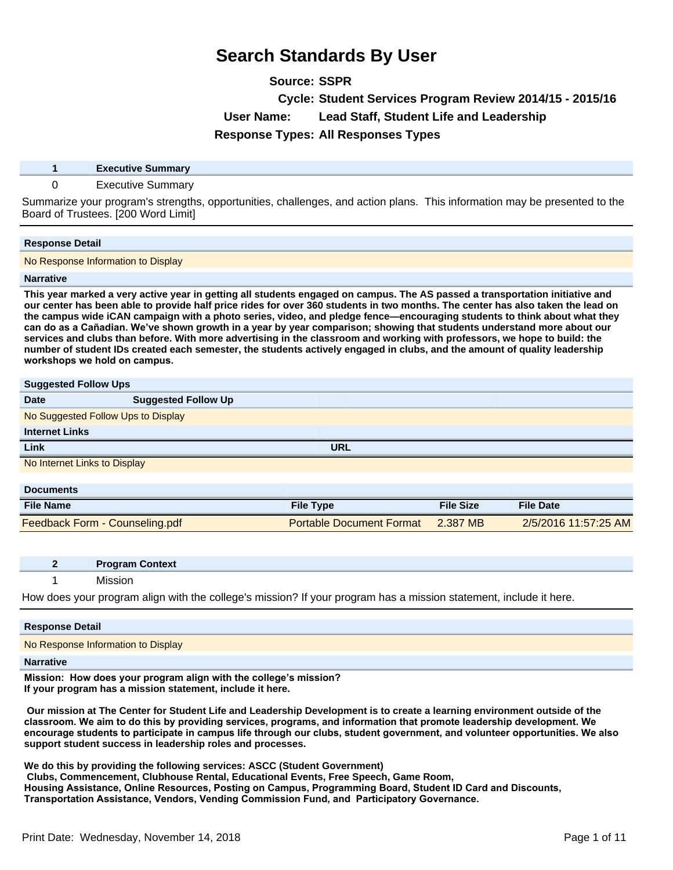**Source: SSPR**

**Cycle: Student Services Program Review 2014/15 - 2015/16**

**User Name: Lead Staff, Student Life and Leadership**

**Response Types: All Responses Types**

|  | <b>Executive Summary</b> |  |
|--|--------------------------|--|
|--|--------------------------|--|

### 0 Executive Summary

Summarize your program's strengths, opportunities, challenges, and action plans. This information may be presented to the Board of Trustees. [200 Word Limit]

### **Response Detail**

No Response Information to Display

### **Narrative**

**This year marked a very active year in getting all students engaged on campus. The AS passed a transportation initiative and our center has been able to provide half price rides for over 360 students in two months. The center has also taken the lead on the campus wide iCAN campaign with a photo series, video, and pledge fence²encouraging students to think about what they**  can do as a Cañadian. We've shown growth in a year by year comparison; showing that students understand more about our **services and clubs than before. With more advertising in the classroom and working with professors, we hope to build: the number of student IDs created each semester, the students actively engaged in clubs, and the amount of quality leadership**  workshops we hold on campus.

| <b>Suggested Follow Ups</b> |                                    |                  |                  |                  |  |  |
|-----------------------------|------------------------------------|------------------|------------------|------------------|--|--|
| <b>Date</b>                 | <b>Suggested Follow Up</b>         |                  |                  |                  |  |  |
|                             | No Suggested Follow Ups to Display |                  |                  |                  |  |  |
| <b>Internet Links</b>       |                                    |                  |                  |                  |  |  |
| Link                        |                                    | <b>URL</b>       |                  |                  |  |  |
|                             | No Internet Links to Display       |                  |                  |                  |  |  |
|                             |                                    |                  |                  |                  |  |  |
| <b>Documents</b>            |                                    |                  |                  |                  |  |  |
| <b>File Name</b>            |                                    | <b>File Type</b> | <b>File Size</b> | <b>File Date</b> |  |  |
|                             |                                    |                  |                  |                  |  |  |

| <b>File Name</b>               | <b>File Type</b>                | <b>File Size</b> | <b>File Date</b>     |
|--------------------------------|---------------------------------|------------------|----------------------|
| Feedback Form - Counseling.pdf | <b>Portable Document Format</b> | 2.387 MB         | 2/5/2016 11:57:25 AM |

|  | <b>Program Context</b> |  |
|--|------------------------|--|
|  |                        |  |

1 Mission

How does your program align with the college's mission? If your program has a mission statement, include it here.

| <b>Response Detail</b>                                                                                         |
|----------------------------------------------------------------------------------------------------------------|
| No Response Information to Display                                                                             |
| <b>Narrative</b>                                                                                               |
| Mississu, Hautalasa yang pengunungan selapan ini terbahan pendapatan terbahan di pendapatan di kecamatan di ke |

**Mission: How does your program align with the college's mission? If your program has a mission statement, include it here.** 

 **Our mission at The Center for Student Life and Leadership Development is to create a learning environment outside of the**  classroom. We aim to do this by providing services, programs, and information that promote leadership development. We encourage students to participate in campus life through our clubs, student government, and volunteer opportunities. We also **support student success in leadership roles and processes.** 

**We do this by providing the following services: ASCC (Student Government) Clubs, Commencement, Clubhouse Rental, Educational Events, Free Speech, Game Room,**  Housing Assistance, Online Resources, Posting on Campus, Programming Board, Student ID Card and Discounts. **Transportation Assistance, Vendors, Vending Commission Fund, and Participatory Governance.**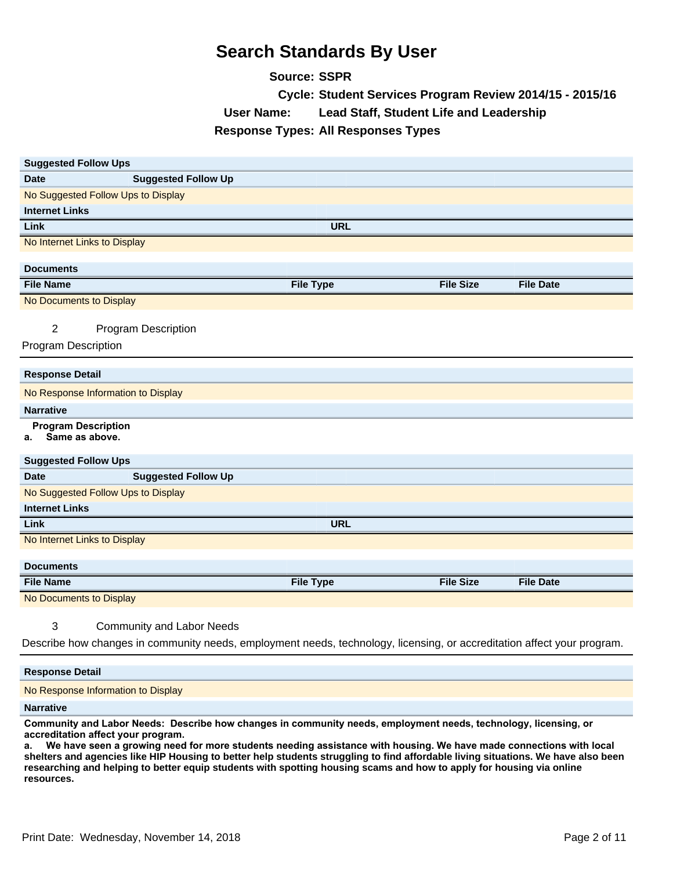|                                                                                                                         | <b>OCAIGH OLAIRAIGH DY USCI</b>            |            |                                                |                                                          |  |
|-------------------------------------------------------------------------------------------------------------------------|--------------------------------------------|------------|------------------------------------------------|----------------------------------------------------------|--|
|                                                                                                                         | <b>Source: SSPR</b><br><b>User Name:</b>   |            | <b>Lead Staff, Student Life and Leadership</b> | Cycle: Student Services Program Review 2014/15 - 2015/16 |  |
|                                                                                                                         | <b>Response Types: All Responses Types</b> |            |                                                |                                                          |  |
|                                                                                                                         |                                            |            |                                                |                                                          |  |
| <b>Suggested Follow Ups</b>                                                                                             |                                            |            |                                                |                                                          |  |
| <b>Suggested Follow Up</b><br><b>Date</b>                                                                               |                                            |            |                                                |                                                          |  |
| No Suggested Follow Ups to Display                                                                                      |                                            |            |                                                |                                                          |  |
| <b>Internet Links</b>                                                                                                   |                                            |            |                                                |                                                          |  |
| Link                                                                                                                    |                                            | <b>URL</b> |                                                |                                                          |  |
| No Internet Links to Display                                                                                            |                                            |            |                                                |                                                          |  |
| <b>Documents</b>                                                                                                        |                                            |            |                                                |                                                          |  |
| <b>File Name</b>                                                                                                        | <b>File Type</b>                           |            | <b>File Size</b>                               | <b>File Date</b>                                         |  |
| No Documents to Display                                                                                                 |                                            |            |                                                |                                                          |  |
|                                                                                                                         |                                            |            |                                                |                                                          |  |
| $\overline{2}$<br><b>Program Description</b>                                                                            |                                            |            |                                                |                                                          |  |
| <b>Program Description</b>                                                                                              |                                            |            |                                                |                                                          |  |
|                                                                                                                         |                                            |            |                                                |                                                          |  |
| <b>Response Detail</b>                                                                                                  |                                            |            |                                                |                                                          |  |
| No Response Information to Display                                                                                      |                                            |            |                                                |                                                          |  |
| <b>Narrative</b>                                                                                                        |                                            |            |                                                |                                                          |  |
| <b>Program Description</b><br>Same as above.<br>а.                                                                      |                                            |            |                                                |                                                          |  |
| <b>Suggested Follow Ups</b>                                                                                             |                                            |            |                                                |                                                          |  |
| <b>Suggested Follow Up</b><br><b>Date</b>                                                                               |                                            |            |                                                |                                                          |  |
| No Suggested Follow Ups to Display                                                                                      |                                            |            |                                                |                                                          |  |
| <b>Internet Links</b>                                                                                                   |                                            |            |                                                |                                                          |  |
| Link                                                                                                                    |                                            | <b>URL</b> |                                                |                                                          |  |
| No Internet Links to Display                                                                                            |                                            |            |                                                |                                                          |  |
|                                                                                                                         |                                            |            |                                                |                                                          |  |
| <b>Documents</b>                                                                                                        |                                            |            |                                                |                                                          |  |
| <b>File Name</b>                                                                                                        | <b>File Type</b>                           |            | <b>File Size</b>                               | <b>File Date</b>                                         |  |
| No Documents to Display                                                                                                 |                                            |            |                                                |                                                          |  |
| $\sqrt{3}$<br><b>Community and Labor Needs</b>                                                                          |                                            |            |                                                |                                                          |  |
| Describe how changes in community needs, employment needs, technology, licensing, or accreditation affect your program. |                                            |            |                                                |                                                          |  |

### **Response Detail**

No Response Information to Display

**Narrative**

Community and Labor Needs: Describe how changes in community needs, employment needs, technology, licensing, or accreditation affect your program.

a. We have seen a growing need for more students needing assistance with housing. We have made connections with local **shelters and agencies like HIP Housing to better help students struggling to find affordable living situations. We have also been researching and helping to better equip students with spotting housing scams and how to apply for housing via online resources.**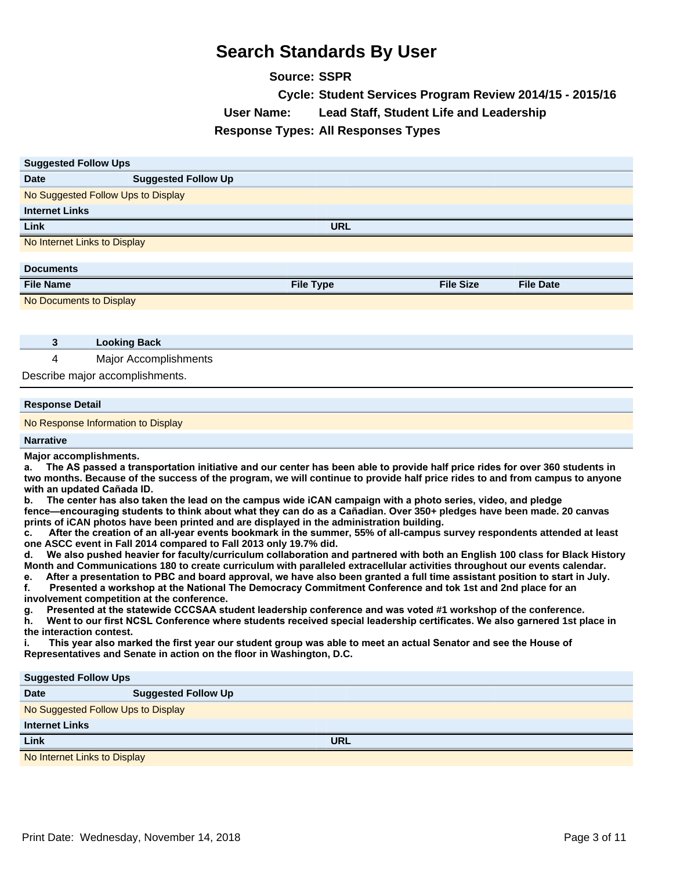**Source: SSPR Cycle: Student Services Program Review 2014/15 - 2015/16 User Name: Lead Staff, Student Life and Leadership Response Types: All Responses Types**

| <b>Suggested Follow Ups</b> |                                    |                  |                  |                  |  |  |
|-----------------------------|------------------------------------|------------------|------------------|------------------|--|--|
| <b>Date</b>                 | <b>Suggested Follow Up</b>         |                  |                  |                  |  |  |
|                             | No Suggested Follow Ups to Display |                  |                  |                  |  |  |
| <b>Internet Links</b>       |                                    |                  |                  |                  |  |  |
| Link                        |                                    | <b>URL</b>       |                  |                  |  |  |
|                             | No Internet Links to Display       |                  |                  |                  |  |  |
|                             |                                    |                  |                  |                  |  |  |
| <b>Documents</b>            |                                    |                  |                  |                  |  |  |
| <b>File Name</b>            |                                    | <b>File Type</b> | <b>File Size</b> | <b>File Date</b> |  |  |
| No Documents to Display     |                                    |                  |                  |                  |  |  |

- **3 Looking Back**
- 4 Major Accomplishments

Describe major accomplishments.

#### **Response Detail**

#### No Response Information to Display

#### **Narrative**

**Major accomplishments.** 

**a.** The AS passed a transportation initiative and our center has been able to provide half price rides for over 360 students in **two months. Because of the success of the program, we will continue to provide half price rides to and from campus to anyone**  with an updated Cañada ID.

**b.** The center has also taken the lead on the campus wide iCAN campaign with a photo series, video, and pledge

fence—encouraging students to think about what they can do as a Cañadian. Over 350+ pledges have been made. 20 canvas **prints of iCAN photos have been printed and are displayed in the administration building.** 

c. After the creation of an all-year events bookmark in the summer, 55% of all-campus survey respondents attended at least **one ASCC event in Fall 2014 compared to Fall 2013 only 19.7% did.** 

d. We also pushed heavier for faculty/curriculum collaboration and partnered with both an English 100 class for Black History **Month and Communications 180 to create curriculum with paralleled extracellular activities throughout our events calendar.** 

e. After a presentation to PBC and board approval, we have also been granted a full time assistant position to start in July. f. Presented a workshop at the National The Democracy Commitment Conference and tok 1st and 2nd place for an

**involvement competition at the conference.** 

g. Presented at the statewide CCCSAA student leadership conference and was voted #1 workshop of the conference.

**h.** Went to our first NCSL Conference where students received special leadership certificates. We also garnered 1st place in **the interaction contest.** 

This year also marked the first year our student group was able to meet an actual Senator and see the House of **Representatives and Senate in action on the floor in Washington, D.C.**

#### **Suggested Follow Ups**

| ---                                |                            |  |  |  |
|------------------------------------|----------------------------|--|--|--|
| <b>Date</b>                        | <b>Suggested Follow Up</b> |  |  |  |
| No Suggested Follow Ups to Display |                            |  |  |  |
| <b>Internet Links</b>              |                            |  |  |  |
| Link<br><b>URL</b>                 |                            |  |  |  |
| No Internet Links to Display       |                            |  |  |  |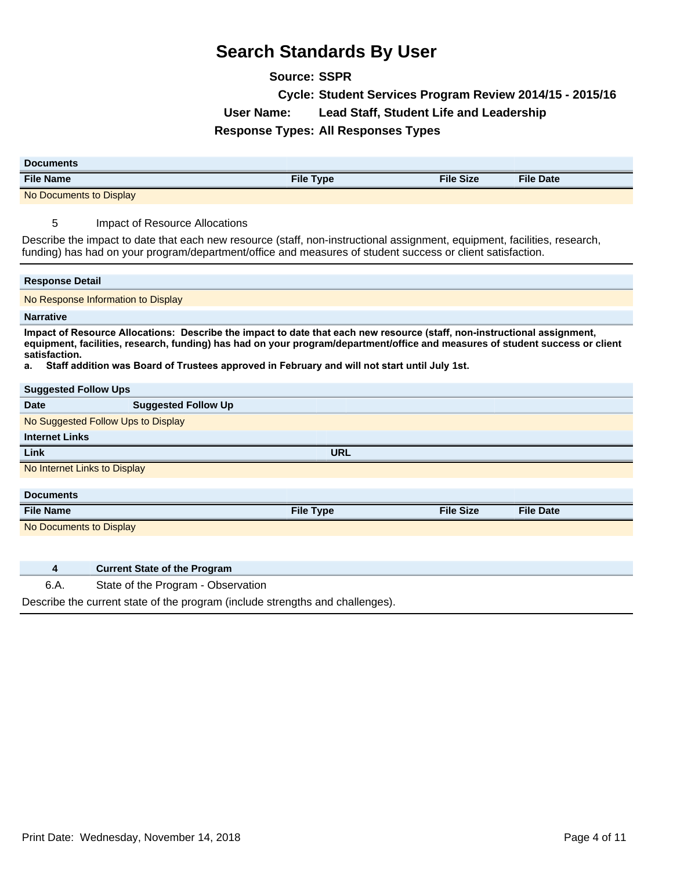**Source: SSPR Cycle: Student Services Program Review 2014/15 - 2015/16 User Name: Lead Staff, Student Life and Leadership Response Types: All Responses Types**

| <b>Documents</b>        |                  |                  |                  |  |
|-------------------------|------------------|------------------|------------------|--|
| <b>File Name</b>        | <b>File Type</b> | <b>File Size</b> | <b>File Date</b> |  |
| No Documents to Display |                  |                  |                  |  |

5 Impact of Resource Allocations

Describe the impact to date that each new resource (staff, non-instructional assignment, equipment, facilities, research, funding) has had on your program/department/office and measures of student success or client satisfaction.

| <b>Response Detail</b>       |                                                                                                                                                                                                                                                                                                                                                           |                  |                  |                  |  |
|------------------------------|-----------------------------------------------------------------------------------------------------------------------------------------------------------------------------------------------------------------------------------------------------------------------------------------------------------------------------------------------------------|------------------|------------------|------------------|--|
|                              | No Response Information to Display                                                                                                                                                                                                                                                                                                                        |                  |                  |                  |  |
| <b>Narrative</b>             |                                                                                                                                                                                                                                                                                                                                                           |                  |                  |                  |  |
| satisfaction.<br>а.          | Impact of Resource Allocations: Describe the impact to date that each new resource (staff, non-instructional assignment,<br>equipment, facilities, research, funding) has had on your program/department/office and measures of student success or client<br>Staff addition was Board of Trustees approved in February and will not start until July 1st. |                  |                  |                  |  |
| <b>Suggested Follow Ups</b>  |                                                                                                                                                                                                                                                                                                                                                           |                  |                  |                  |  |
| Date                         | <b>Suggested Follow Up</b>                                                                                                                                                                                                                                                                                                                                |                  |                  |                  |  |
|                              | No Suggested Follow Ups to Display                                                                                                                                                                                                                                                                                                                        |                  |                  |                  |  |
| <b>Internet Links</b>        |                                                                                                                                                                                                                                                                                                                                                           |                  |                  |                  |  |
| Link                         |                                                                                                                                                                                                                                                                                                                                                           | <b>URL</b>       |                  |                  |  |
| No Internet Links to Display |                                                                                                                                                                                                                                                                                                                                                           |                  |                  |                  |  |
|                              |                                                                                                                                                                                                                                                                                                                                                           |                  |                  |                  |  |
| <b>Documents</b>             |                                                                                                                                                                                                                                                                                                                                                           |                  |                  |                  |  |
| <b>File Name</b>             |                                                                                                                                                                                                                                                                                                                                                           | <b>File Type</b> | <b>File Size</b> | <b>File Date</b> |  |
| No Documents to Display      |                                                                                                                                                                                                                                                                                                                                                           |                  |                  |                  |  |
|                              |                                                                                                                                                                                                                                                                                                                                                           |                  |                  |                  |  |
| 4                            | <b>Current State of the Program</b>                                                                                                                                                                                                                                                                                                                       |                  |                  |                  |  |
| 6.A.                         | State of the Program - Observation                                                                                                                                                                                                                                                                                                                        |                  |                  |                  |  |

Describe the current state of the program (include strengths and challenges).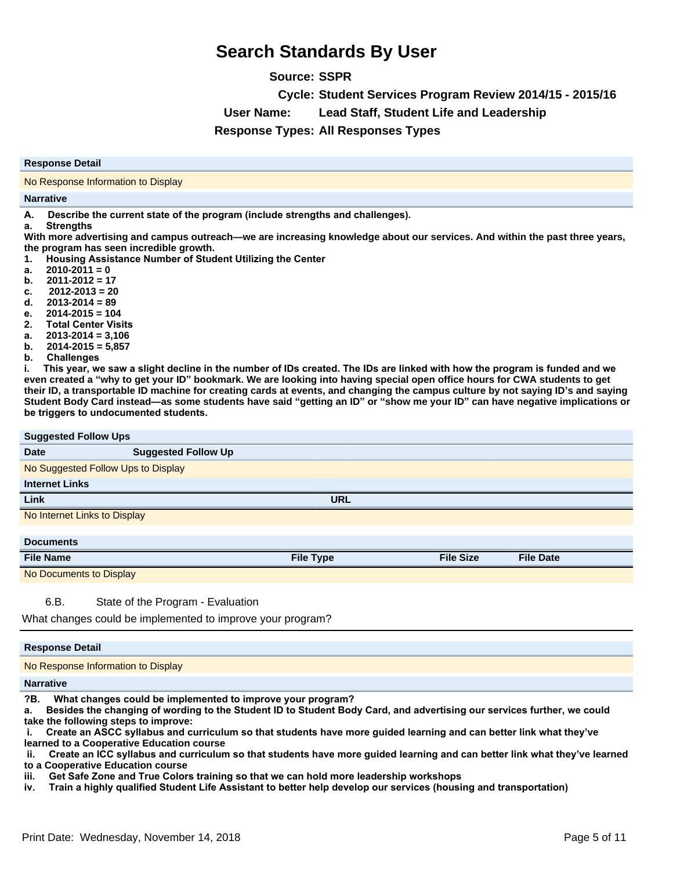**Source: SSPR**

**Cycle: Student Services Program Review 2014/15 - 2015/16**

**User Name: Lead Staff, Student Life and Leadership**

**Response Types: All Responses Types**

### **Response Detail**

No Response Information to Display

#### **Narrative**

A. Describe the current state of the program (include strengths and challenges).

a. Strengths

With more advertising and campus outreach—we are increasing knowledge about our services. And within the past three years, **the program has seen incredible growth.** 

- 1. Housing Assistance Number of Student Utilizing the Center
- **D2010-2011 = 0**
- **b**.  $2011-2012 = 17$
- **F2012-2013 = 20**
- **G2013-2014 = 89**
- **H2014-2015 = 104**
- **2.** Total Center Visits
- **D2013-2014 = 3,106**
- **E2014-2015 = 5,857**
- **b.** Challenges

i. This year, we saw a slight decline in the number of IDs created. The IDs are linked with how the program is funded and we **even created a ³why to get your ID´bookmark. We are looking into having special open office hours for CWA students to get their ID, a transportable ID machine for creating cards at events, and changing the campus culture by not saying ID¶s and saying Student Body Card instead²as some students have said ³getting an ID´or ³show me your ID´can have negative implications or**  be triggers to undocumented students.

| <b>Suggested Follow Ups</b>        |                            |                  |                  |                  |  |
|------------------------------------|----------------------------|------------------|------------------|------------------|--|
| <b>Date</b>                        | <b>Suggested Follow Up</b> |                  |                  |                  |  |
| No Suggested Follow Ups to Display |                            |                  |                  |                  |  |
| <b>Internet Links</b>              |                            |                  |                  |                  |  |
| Link                               |                            | <b>URL</b>       |                  |                  |  |
| No Internet Links to Display       |                            |                  |                  |                  |  |
|                                    |                            |                  |                  |                  |  |
| <b>Documents</b>                   |                            |                  |                  |                  |  |
| <b>File Name</b>                   |                            | <b>File Type</b> | <b>File Size</b> | <b>File Date</b> |  |
|                                    | No Documents to Display    |                  |                  |                  |  |

| 6.B. | State of the Program - Evaluation |  |
|------|-----------------------------------|--|
|------|-----------------------------------|--|

What changes could be implemented to improve your program?

## **Response Detail** No Response Information to Display **Narrative**

?B. What changes could be implemented to improve your program?

a. Besides the changing of wording to the Student ID to Student Body Card, and advertising our services further, we could **take the following steps to improve:** 

**i.** Create an ASCC syllabus and curriculum so that students have more guided learning and can better link what they've **learned to a Cooperative Education course**

li. Create an ICC syllabus and curriculum so that students have more guided learning and can better link what they've learned **to a Cooperative Education course** 

iii. Get Safe Zone and True Colors training so that we can hold more leadership workshops

iv. Train a highly qualified Student Life Assistant to better help develop our services (housing and transportation)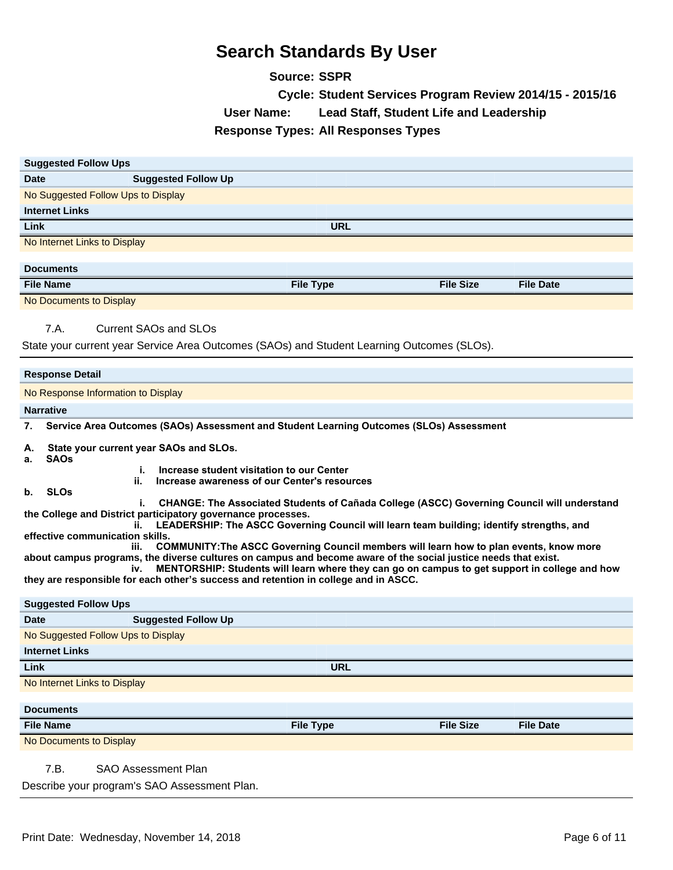|                                                                                                                                                                                                                                                        | <b>Source: SSPR</b>                                                                                                                                                                     |                                                |                  |  |
|--------------------------------------------------------------------------------------------------------------------------------------------------------------------------------------------------------------------------------------------------------|-----------------------------------------------------------------------------------------------------------------------------------------------------------------------------------------|------------------------------------------------|------------------|--|
|                                                                                                                                                                                                                                                        | Cycle: Student Services Program Review 2014/15 - 2015/16                                                                                                                                |                                                |                  |  |
|                                                                                                                                                                                                                                                        | <b>User Name:</b><br><b>Response Types: All Responses Types</b>                                                                                                                         | <b>Lead Staff, Student Life and Leadership</b> |                  |  |
|                                                                                                                                                                                                                                                        |                                                                                                                                                                                         |                                                |                  |  |
| <b>Suggested Follow Ups</b>                                                                                                                                                                                                                            |                                                                                                                                                                                         |                                                |                  |  |
| <b>Suggested Follow Up</b><br><b>Date</b>                                                                                                                                                                                                              |                                                                                                                                                                                         |                                                |                  |  |
| No Suggested Follow Ups to Display                                                                                                                                                                                                                     |                                                                                                                                                                                         |                                                |                  |  |
| <b>Internet Links</b>                                                                                                                                                                                                                                  |                                                                                                                                                                                         |                                                |                  |  |
| Link                                                                                                                                                                                                                                                   | <b>URL</b>                                                                                                                                                                              |                                                |                  |  |
| No Internet Links to Display                                                                                                                                                                                                                           |                                                                                                                                                                                         |                                                |                  |  |
| <b>Documents</b>                                                                                                                                                                                                                                       |                                                                                                                                                                                         |                                                |                  |  |
| <b>File Name</b>                                                                                                                                                                                                                                       | <b>File Type</b>                                                                                                                                                                        | <b>File Size</b>                               | <b>File Date</b> |  |
| No Documents to Display                                                                                                                                                                                                                                |                                                                                                                                                                                         |                                                |                  |  |
| <b>Current SAOs and SLOs</b><br>7.A.<br>State your current year Service Area Outcomes (SAOs) and Student Learning Outcomes (SLOs).                                                                                                                     |                                                                                                                                                                                         |                                                |                  |  |
| <b>Response Detail</b>                                                                                                                                                                                                                                 |                                                                                                                                                                                         |                                                |                  |  |
| No Response Information to Display                                                                                                                                                                                                                     |                                                                                                                                                                                         |                                                |                  |  |
| <b>Narrative</b>                                                                                                                                                                                                                                       |                                                                                                                                                                                         |                                                |                  |  |
| 7.                                                                                                                                                                                                                                                     | Service Area Outcomes (SAOs) Assessment and Student Learning Outcomes (SLOs) Assessment                                                                                                 |                                                |                  |  |
| State your current year SAOs and SLOs.<br>А.<br><b>SAOs</b><br>а.                                                                                                                                                                                      |                                                                                                                                                                                         |                                                |                  |  |
| i.<br>ii.                                                                                                                                                                                                                                              | Increase student visitation to our Center<br>Increase awareness of our Center's resources                                                                                               |                                                |                  |  |
| <b>SLOs</b><br>b.<br>i.                                                                                                                                                                                                                                |                                                                                                                                                                                         |                                                |                  |  |
| CHANGE: The Associated Students of Cañada College (ASCC) Governing Council will understand<br>the College and District participatory governance processes.<br>LEADERSHIP: The ASCC Governing Council will learn team building; identify strengths, and |                                                                                                                                                                                         |                                                |                  |  |
| effective communication skills.                                                                                                                                                                                                                        |                                                                                                                                                                                         |                                                |                  |  |
| ш.<br>about campus programs, the diverse cultures on campus and become aware of the social justice needs that exist.<br>iv.<br>they are responsible for each other's success and retention in college and in ASCC.                                     | COMMUNITY: The ASCC Governing Council members will learn how to plan events, know more<br>MENTORSHIP: Students will learn where they can go on campus to get support in college and how |                                                |                  |  |
| <b>Suggested Follow Ups</b>                                                                                                                                                                                                                            |                                                                                                                                                                                         |                                                |                  |  |
| <b>Suggested Follow Up</b><br><b>Date</b>                                                                                                                                                                                                              |                                                                                                                                                                                         |                                                |                  |  |
| No Suggested Follow Ups to Display                                                                                                                                                                                                                     |                                                                                                                                                                                         |                                                |                  |  |
| <b>Internet Links</b>                                                                                                                                                                                                                                  |                                                                                                                                                                                         |                                                |                  |  |
| Link                                                                                                                                                                                                                                                   | <b>URL</b>                                                                                                                                                                              |                                                |                  |  |
| No Internet Links to Display                                                                                                                                                                                                                           |                                                                                                                                                                                         |                                                |                  |  |
| <b>Documents</b>                                                                                                                                                                                                                                       |                                                                                                                                                                                         |                                                |                  |  |
| <b>File Name</b>                                                                                                                                                                                                                                       | <b>File Type</b>                                                                                                                                                                        | <b>File Size</b>                               | <b>File Date</b> |  |
| No Documents to Display                                                                                                                                                                                                                                |                                                                                                                                                                                         |                                                |                  |  |
| 7.B.<br><b>SAO Assessment Plan</b>                                                                                                                                                                                                                     |                                                                                                                                                                                         |                                                |                  |  |

Describe your program's SAO Assessment Plan.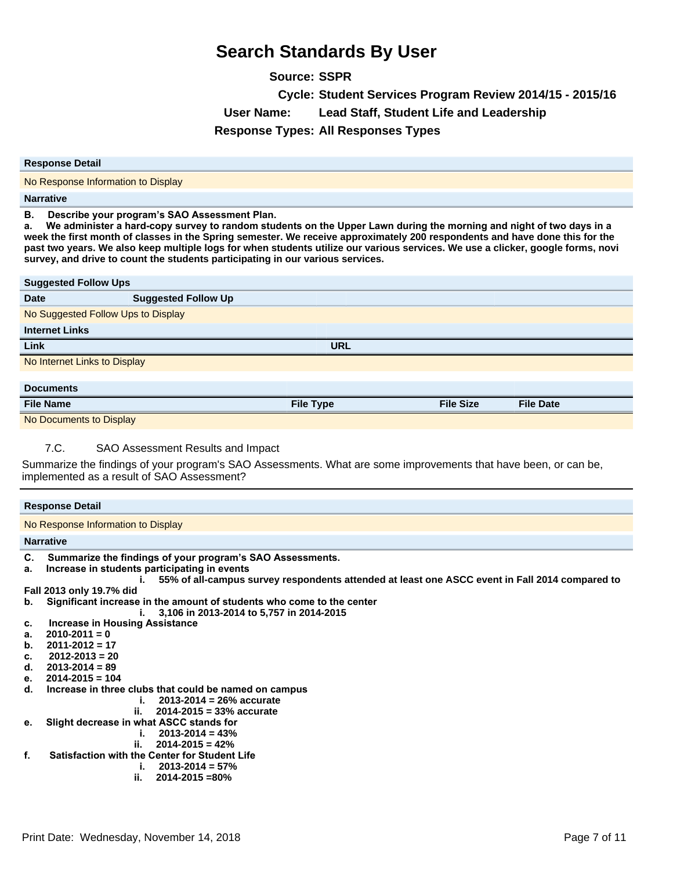| <b>Source: SSPR</b> |                                                          |
|---------------------|----------------------------------------------------------|
|                     | Cycle: Student Services Program Review 2014/15 - 2015/16 |
| User Name:          | <b>Lead Staff, Student Life and Leadership</b>           |
|                     | <b>Response Types: All Responses Types</b>               |
|                     |                                                          |
|                     |                                                          |

### No Response Information to Display

#### **Narrative**

**Response Detail**

**B.** Describe your program's SAO Assessment Plan.

a. We administer a hard-copy survey to random students on the Upper Lawn during the morning and night of two days in a **week the first month of classes in the Spring semester. We receive approximately 200 respondents and have done this for the past two years. We also keep multiple logs for when students utilize our various services. We use a clicker, google forms, novi survey, and drive to count the students participating in our various services.**

| <b>Suggested Follow Ups</b>        |                            |                  |                  |                  |  |
|------------------------------------|----------------------------|------------------|------------------|------------------|--|
| <b>Date</b>                        | <b>Suggested Follow Up</b> |                  |                  |                  |  |
| No Suggested Follow Ups to Display |                            |                  |                  |                  |  |
| <b>Internet Links</b>              |                            |                  |                  |                  |  |
| Link                               |                            | <b>URL</b>       |                  |                  |  |
| No Internet Links to Display       |                            |                  |                  |                  |  |
|                                    |                            |                  |                  |                  |  |
| <b>Documents</b>                   |                            |                  |                  |                  |  |
| <b>File Name</b>                   |                            | <b>File Type</b> | <b>File Size</b> | <b>File Date</b> |  |
| No Documents to Display            |                            |                  |                  |                  |  |

7.C. SAO Assessment Results and Impact

Summarize the findings of your program's SAO Assessments. What are some improvements that have been, or can be, implemented as a result of SAO Assessment?

### **Response Detail** No Response Information to Display **Narrative** C. Summarize the findings of your program's SAO Assessments. a. Increase in students participating in events **L55% of all-campus survey respondents attended at least one ASCC event in Fall 2014 compared to Fall 2013 only 19.7% did**  b. Significant increase in the amount of students who come to the center **L3,106 in 2013-2014 to 5,757 in 2014-2015** c. Increase in Housing Assistance **a.** 2010-2011 = 0<br>**b.** 2011-2012 = 1 **E2011-2012 = 17 F2012-2013 = 20 G2013-2014 = 89 H2014-2015 = 104** d. Increase in three clubs that could be named on campus **L2013-2014 = 26% accurate LL2014-2015 = 33% accurate e.** Slight decrease in what ASCC stands for **i**. **2013-2014 = 43%** ii. 2014-2015 = 42%<br>**f** Satisfaction with the Center for Student **Satisfaction with the Center for Student Life L2013-2014 = 57% LL2014-2015 =80%**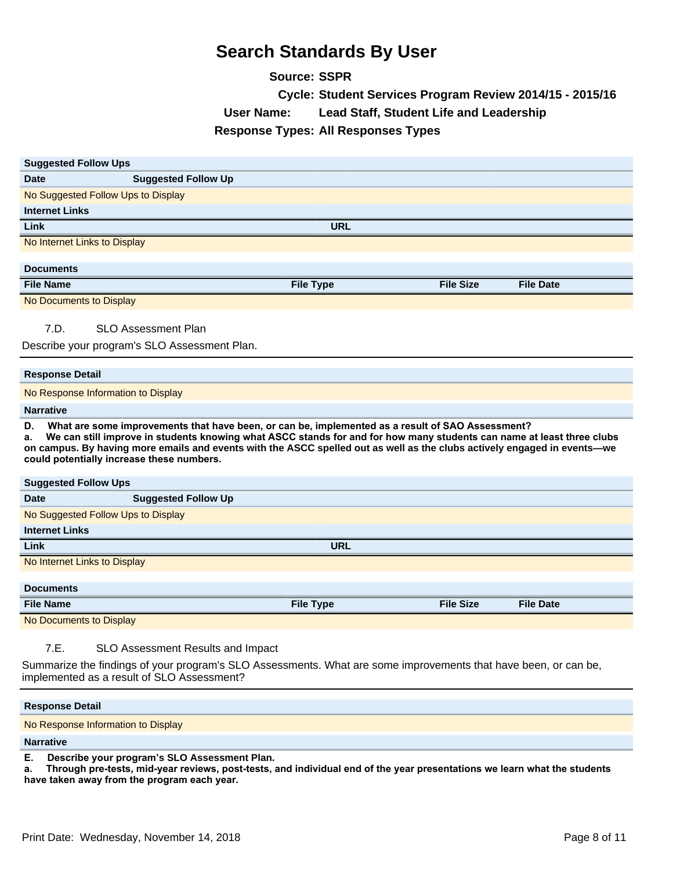**Source: SSPR**

| Cycle: Student Services Program Review 2014/15 - 2015/16     |                                                                                                                                                                                                                                                                                                                                                       |                                            |  |                  |  |
|--------------------------------------------------------------|-------------------------------------------------------------------------------------------------------------------------------------------------------------------------------------------------------------------------------------------------------------------------------------------------------------------------------------------------------|--------------------------------------------|--|------------------|--|
| User Name:<br><b>Lead Staff, Student Life and Leadership</b> |                                                                                                                                                                                                                                                                                                                                                       |                                            |  |                  |  |
|                                                              |                                                                                                                                                                                                                                                                                                                                                       | <b>Response Types: All Responses Types</b> |  |                  |  |
|                                                              |                                                                                                                                                                                                                                                                                                                                                       |                                            |  |                  |  |
| <b>Suggested Follow Ups</b>                                  |                                                                                                                                                                                                                                                                                                                                                       |                                            |  |                  |  |
| <b>Date</b>                                                  | <b>Suggested Follow Up</b>                                                                                                                                                                                                                                                                                                                            |                                            |  |                  |  |
| No Suggested Follow Ups to Display                           |                                                                                                                                                                                                                                                                                                                                                       |                                            |  |                  |  |
| <b>Internet Links</b>                                        |                                                                                                                                                                                                                                                                                                                                                       |                                            |  |                  |  |
| Link                                                         |                                                                                                                                                                                                                                                                                                                                                       | <b>URL</b>                                 |  |                  |  |
| No Internet Links to Display                                 |                                                                                                                                                                                                                                                                                                                                                       |                                            |  |                  |  |
|                                                              |                                                                                                                                                                                                                                                                                                                                                       |                                            |  |                  |  |
| <b>Documents</b>                                             |                                                                                                                                                                                                                                                                                                                                                       |                                            |  |                  |  |
| <b>File Name</b>                                             | <b>File Type</b>                                                                                                                                                                                                                                                                                                                                      | <b>File Size</b>                           |  | <b>File Date</b> |  |
| No Documents to Display                                      |                                                                                                                                                                                                                                                                                                                                                       |                                            |  |                  |  |
| 7.D.                                                         |                                                                                                                                                                                                                                                                                                                                                       |                                            |  |                  |  |
|                                                              | <b>SLO Assessment Plan</b>                                                                                                                                                                                                                                                                                                                            |                                            |  |                  |  |
| Describe your program's SLO Assessment Plan.                 |                                                                                                                                                                                                                                                                                                                                                       |                                            |  |                  |  |
| <b>Response Detail</b>                                       |                                                                                                                                                                                                                                                                                                                                                       |                                            |  |                  |  |
| No Response Information to Display                           |                                                                                                                                                                                                                                                                                                                                                       |                                            |  |                  |  |
| <b>Narrative</b>                                             |                                                                                                                                                                                                                                                                                                                                                       |                                            |  |                  |  |
| D.<br>a.<br>could potentially increase these numbers.        | What are some improvements that have been, or can be, implemented as a result of SAO Assessment?<br>We can still improve in students knowing what ASCC stands for and for how many students can name at least three clubs<br>on campus. By having more emails and events with the ASCC spelled out as well as the clubs actively engaged in events—we |                                            |  |                  |  |
| <b>Suggested Follow Ups</b>                                  |                                                                                                                                                                                                                                                                                                                                                       |                                            |  |                  |  |
| <b>Date</b>                                                  | <b>Suggested Follow Up</b>                                                                                                                                                                                                                                                                                                                            |                                            |  |                  |  |
| No Suggested Follow Ups to Display                           |                                                                                                                                                                                                                                                                                                                                                       |                                            |  |                  |  |
| <b>Internet Links</b>                                        |                                                                                                                                                                                                                                                                                                                                                       |                                            |  |                  |  |
| Link                                                         |                                                                                                                                                                                                                                                                                                                                                       | <b>URL</b>                                 |  |                  |  |
| No Internet Links to Display                                 |                                                                                                                                                                                                                                                                                                                                                       |                                            |  |                  |  |
| <b>Documents</b>                                             |                                                                                                                                                                                                                                                                                                                                                       |                                            |  |                  |  |
| <b>File Name</b>                                             | <b>File Type</b>                                                                                                                                                                                                                                                                                                                                      | <b>File Size</b>                           |  | <b>File Date</b> |  |
|                                                              |                                                                                                                                                                                                                                                                                                                                                       |                                            |  |                  |  |
| No Documents to Display                                      |                                                                                                                                                                                                                                                                                                                                                       |                                            |  |                  |  |

### 7.E. SLO Assessment Results and Impact

Summarize the findings of your program's SLO Assessments. What are some improvements that have been, or can be, implemented as a result of SLO Assessment?

**Response Detail**

No Response Information to Display

**Narrative**

**E.** Describe your program's SLO Assessment Plan.

a. Through pre-tests, mid-year reviews, post-tests, and individual end of the year presentations we learn what the students have taken away from the program each year.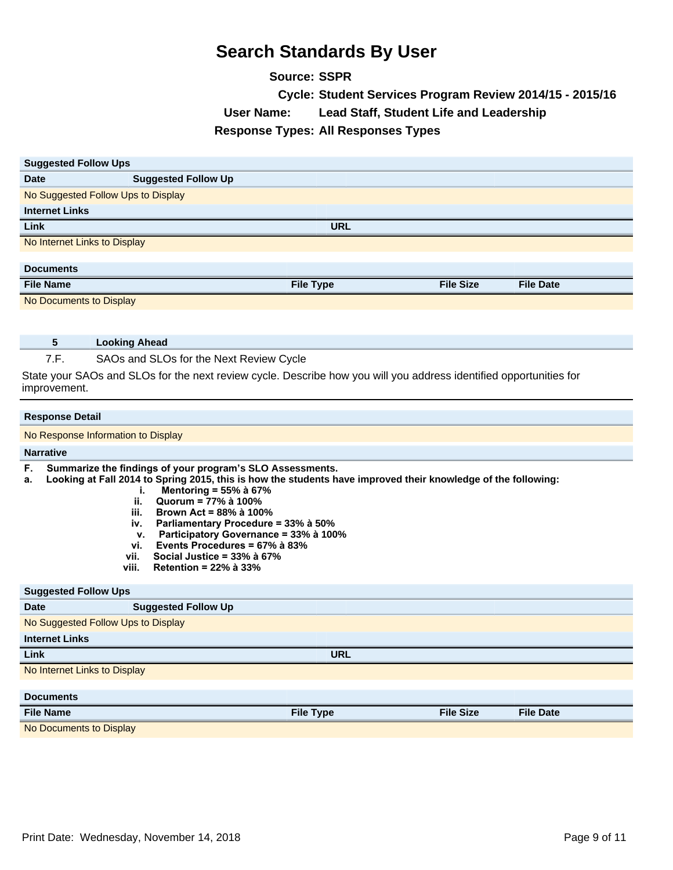**Source: SSPR Cycle: Student Services Program Review 2014/15 - 2015/16 User Name: Lead Staff, Student Life and Leadership Response Types: All Responses Types**

| <b>Suggested Follow Ups</b>        |                            |                  |                  |                  |  |
|------------------------------------|----------------------------|------------------|------------------|------------------|--|
| <b>Date</b>                        | <b>Suggested Follow Up</b> |                  |                  |                  |  |
| No Suggested Follow Ups to Display |                            |                  |                  |                  |  |
| <b>Internet Links</b>              |                            |                  |                  |                  |  |
| Link                               |                            | <b>URL</b>       |                  |                  |  |
| No Internet Links to Display       |                            |                  |                  |                  |  |
|                                    |                            |                  |                  |                  |  |
| <b>Documents</b>                   |                            |                  |                  |                  |  |
| <b>File Name</b>                   |                            | <b>File Type</b> | <b>File Size</b> | <b>File Date</b> |  |
| No Documents to Display            |                            |                  |                  |                  |  |

### **5 Looking Ahead**

### 7.F. SAOs and SLOs for the Next Review Cycle

State your SAOs and SLOs for the next review cycle. Describe how you will you address identified opportunities for improvement.

#### **Response Detail**

No Response Information to Display

#### **Narrative**

- **F.** Summarize the findings of your program's SLO Assessments.
- a. Looking at Fall 2014 to Spring 2015, this is how the students have improved their knowledge of the following:
	- $i.$  **Mentoring = 55% à 67%**
	- **ii.** Quorum = 77% à 100%
	- **iii.** Brown Act = 88% à 100%
	- **iv.** Parliamentary Procedure = 33% à 50%
- **X**. Participatory Governance = 33% à 100%
- **YL(YHQWV3URFHGXUHV 67%j83%**
- **XII.** Social Justice = 33% à 67%
	- *Viii.* **Retention = 22% à 33%**

#### **Suggested Follow Ups**

| ---                                |                            |                  |                  |                  |  |
|------------------------------------|----------------------------|------------------|------------------|------------------|--|
| <b>Date</b>                        | <b>Suggested Follow Up</b> |                  |                  |                  |  |
| No Suggested Follow Ups to Display |                            |                  |                  |                  |  |
| <b>Internet Links</b>              |                            |                  |                  |                  |  |
| Link<br><b>URL</b>                 |                            |                  |                  |                  |  |
| No Internet Links to Display       |                            |                  |                  |                  |  |
|                                    |                            |                  |                  |                  |  |
| <b>Documents</b>                   |                            |                  |                  |                  |  |
| <b>File Name</b>                   |                            | <b>File Type</b> | <b>File Size</b> | <b>File Date</b> |  |
|                                    |                            |                  |                  |                  |  |

No Documents to Display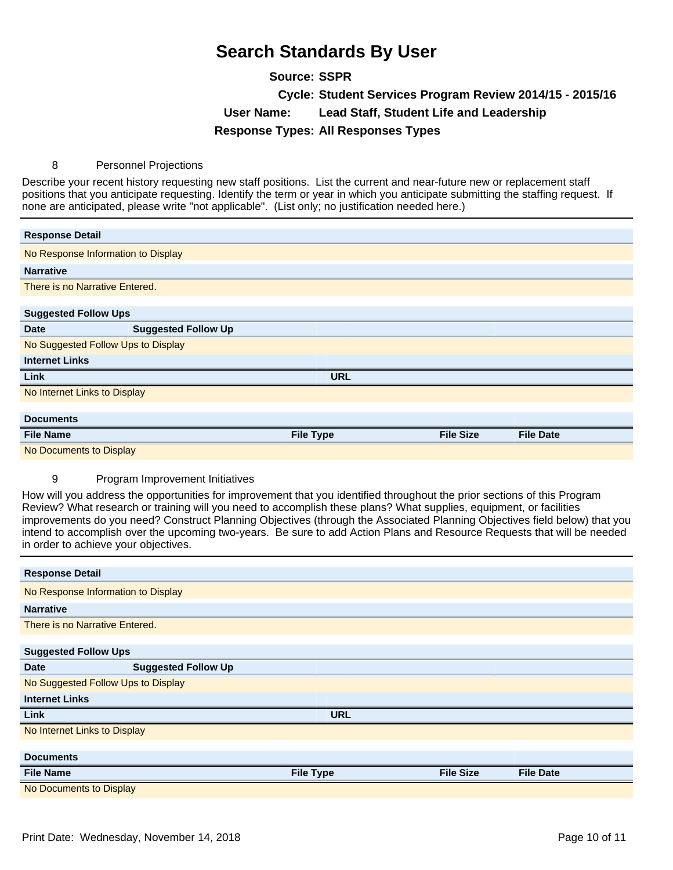| <b>Source: SSPR</b> |                                                          |
|---------------------|----------------------------------------------------------|
|                     | Cycle: Student Services Program Review 2014/15 - 2015/16 |
| User Name:          | <b>Lead Staff, Student Life and Leadership</b>           |
|                     | <b>Response Types: All Responses Types</b>               |

### 8 Personnel Projections

Describe your recent history requesting new staff positions. List the current and near-future new or replacement staff positions that you anticipate requesting. Identify the term or year in which you anticipate submitting the staffing request. If none are anticipated, please write "not applicable". (List only; no justification needed here.)

| <b>Response Detail</b>             |                                    |                  |                  |                  |  |  |
|------------------------------------|------------------------------------|------------------|------------------|------------------|--|--|
|                                    | No Response Information to Display |                  |                  |                  |  |  |
| <b>Narrative</b>                   |                                    |                  |                  |                  |  |  |
| There is no Narrative Entered.     |                                    |                  |                  |                  |  |  |
|                                    |                                    |                  |                  |                  |  |  |
| <b>Suggested Follow Ups</b>        |                                    |                  |                  |                  |  |  |
| <b>Date</b>                        | <b>Suggested Follow Up</b>         |                  |                  |                  |  |  |
| No Suggested Follow Ups to Display |                                    |                  |                  |                  |  |  |
| <b>Internet Links</b>              |                                    |                  |                  |                  |  |  |
| Link                               |                                    | <b>URL</b>       |                  |                  |  |  |
| No Internet Links to Display       |                                    |                  |                  |                  |  |  |
|                                    |                                    |                  |                  |                  |  |  |
| <b>Documents</b>                   |                                    |                  |                  |                  |  |  |
| <b>File Name</b>                   |                                    | <b>File Type</b> | <b>File Size</b> | <b>File Date</b> |  |  |
| No Documents to Display            |                                    |                  |                  |                  |  |  |

### 9 Program Improvement Initiatives

How will you address the opportunities for improvement that you identified throughout the prior sections of this Program Review? What research or training will you need to accomplish these plans? What supplies, equipment, or facilities improvements do you need? Construct Planning Objectives (through the Associated Planning Objectives field below) that you intend to accomplish over the upcoming two-years. Be sure to add Action Plans and Resource Requests that will be needed in order to achieve your objectives.

| <b>Response Detail</b>         |                                    |                  |                  |                  |  |  |  |
|--------------------------------|------------------------------------|------------------|------------------|------------------|--|--|--|
|                                | No Response Information to Display |                  |                  |                  |  |  |  |
| <b>Narrative</b>               |                                    |                  |                  |                  |  |  |  |
| There is no Narrative Entered. |                                    |                  |                  |                  |  |  |  |
|                                |                                    |                  |                  |                  |  |  |  |
| <b>Suggested Follow Ups</b>    |                                    |                  |                  |                  |  |  |  |
| <b>Date</b>                    | <b>Suggested Follow Up</b>         |                  |                  |                  |  |  |  |
|                                | No Suggested Follow Ups to Display |                  |                  |                  |  |  |  |
| <b>Internet Links</b>          |                                    |                  |                  |                  |  |  |  |
| Link                           |                                    | <b>URL</b>       |                  |                  |  |  |  |
| No Internet Links to Display   |                                    |                  |                  |                  |  |  |  |
|                                |                                    |                  |                  |                  |  |  |  |
| <b>Documents</b>               |                                    |                  |                  |                  |  |  |  |
| <b>File Name</b>               |                                    | <b>File Type</b> | <b>File Size</b> | <b>File Date</b> |  |  |  |
| No Documents to Display        |                                    |                  |                  |                  |  |  |  |